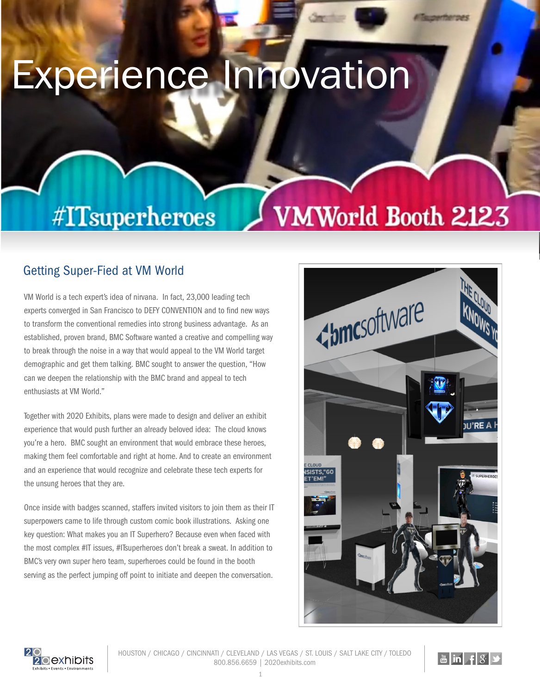## Experience Innovation

## #ITsuperheroes

## Getting Super-Fied at VM World

VM World is a tech expert's idea of nirvana. In fact, 23,000 leading tech experts converged in San Francisco to DEFY CONVENTION and to find new ways to transform the conventional remedies into strong business advantage. As an established, proven brand, BMC Software wanted a creative and compelling way to break through the noise in a way that would appeal to the VM World target demographic and get them talking. BMC sought to answer the question, "How can we deepen the relationship with the BMC brand and appeal to tech enthusiasts at VM World."

Together with 2020 Exhibits, plans were made to design and deliver an exhibit experience that would push further an already beloved idea: The cloud knows you're a hero. BMC sought an environment that would embrace these heroes, making them feel comfortable and right at home. And to create an environment and an experience that would recognize and celebrate these tech experts for the unsung heroes that they are.

Once inside with badges scanned, staffers invited visitors to join them as their IT superpowers came to life through custom comic book illustrations. Asking one key question: What makes you an IT Superhero? Because even when faced with the most complex #IT issues, #ITsuperheroes don't break a sweat. In addition to BMC's very own super hero team, superheroes could be found in the booth serving as the perfect jumping off point to initiate and deepen the conversation.



VMWorld Booth 2123



HOUSTON / CHICAGO / CINCINNATI / CLEVELAND / LAS VEGAS / ST. LOUIS / SALT LAKE CITY / TOLEDO 800.856.6659 | 2020exhibits.com